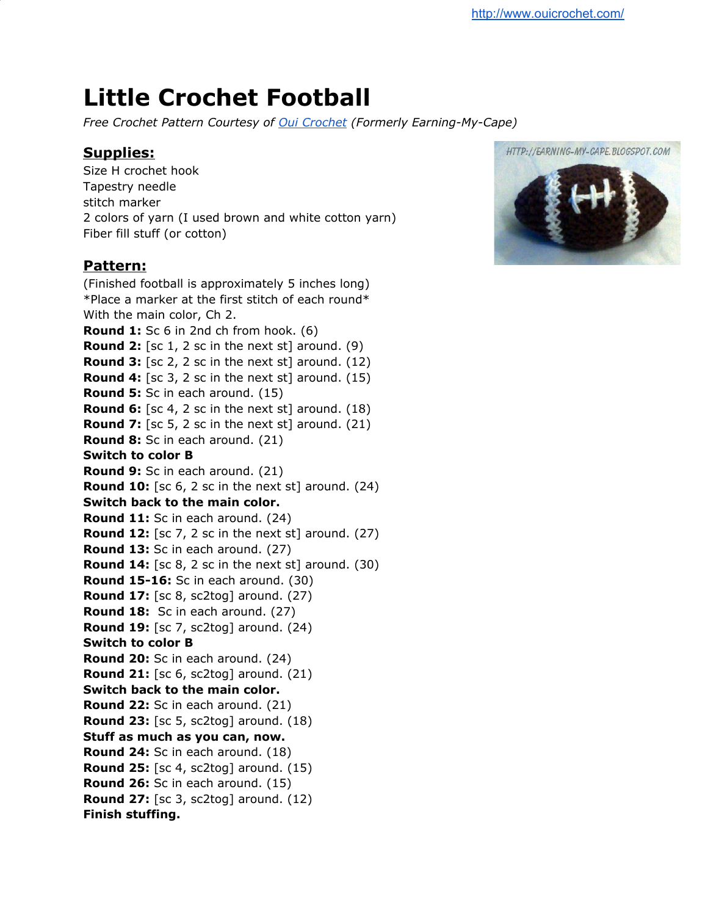## **Little Crochet Football**

*Free Crochet Pattern Courtesy of Oui [Crochet](http://www.ouicrochet.com/) (Formerly Earning-My-Cape)*

## **Supplies:**

Size H crochet hook Tapestry needle stitch marker 2 colors of yarn (I used brown and white cotton yarn) Fiber fill stuff (or cotton)

## **Pattern:**

(Finished football is approximately 5 inches long) \*Place a marker at the first stitch of each round\* With the main color, Ch 2. **Round 1:** Sc 6 in 2nd ch from hook. (6) **Round 2:** [sc 1, 2 sc in the next st] around. (9) **Round 3:** [sc 2, 2 sc in the next st] around. (12) **Round 4:** [sc 3, 2 sc in the next st] around. (15) **Round 5:** Sc in each around. (15) **Round 6:** [sc 4, 2 sc in the next st] around. (18) **Round 7:** [sc 5, 2 sc in the next st] around. (21) **Round 8:** Sc in each around. (21) **Switch to color B Round 9:** Sc in each around. (21) **Round 10:** [sc 6, 2 sc in the next st] around. (24) **Switch back to the main color. Round 11:** Sc in each around. (24) **Round 12:** [sc 7, 2 sc in the next st] around. (27) **Round 13:** Sc in each around. (27) **Round 14:** [sc 8, 2 sc in the next st] around. (30) **Round 15-16:** Sc in each around. (30) **Round 17:** [sc 8, sc2tog] around. (27) **Round 18:** Sc in each around. (27) **Round 19:** [sc 7, sc2tog] around. (24) **Switch to color B Round 20:** Sc in each around. (24) **Round 21:** [sc 6, sc2tog] around. (21) **Switch back to the main color. Round 22:** Sc in each around. (21) **Round 23:** [sc 5, sc2tog] around. (18) **Stuff as much as you can, now. Round 24:** Sc in each around. (18) **Round 25:** [sc 4, sc2tog] around. (15) **Round 26:** Sc in each around. (15) **Round 27:** [sc 3, sc2tog] around. (12) **Finish stuffing.**